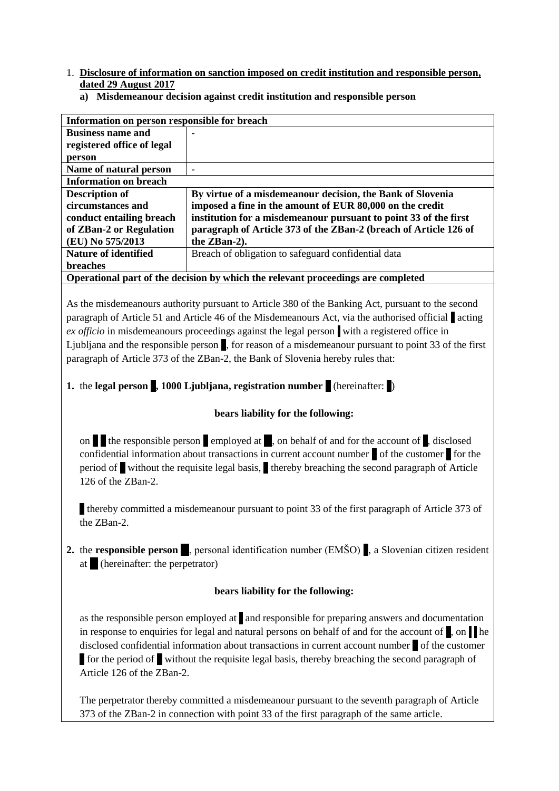- 1. **Disclosure of information on sanction imposed on credit institution and responsible person, dated 29 August 2017**
	- **a) Misdemeanour decision against credit institution and responsible person**

| Information on person responsible for breach                                     |                                                                  |
|----------------------------------------------------------------------------------|------------------------------------------------------------------|
| <b>Business name and</b>                                                         |                                                                  |
| registered office of legal                                                       |                                                                  |
| person                                                                           |                                                                  |
| Name of natural person                                                           | ۰                                                                |
| <b>Information on breach</b>                                                     |                                                                  |
| <b>Description of</b>                                                            | By virtue of a misdemeanour decision, the Bank of Slovenia       |
| circumstances and                                                                | imposed a fine in the amount of EUR 80,000 on the credit         |
| conduct entailing breach                                                         | institution for a misdemeanour pursuant to point 33 of the first |
| of ZBan-2 or Regulation                                                          | paragraph of Article 373 of the ZBan-2 (breach of Article 126 of |
| (EU) No 575/2013                                                                 | the ZBan-2).                                                     |
| <b>Nature of identified</b>                                                      | Breach of obligation to safeguard confidential data              |
| <b>breaches</b>                                                                  |                                                                  |
| Operational part of the decision by which the relevant proceedings are completed |                                                                  |

As the misdemeanours authority pursuant to Article 380 of the Banking Act, pursuant to the second paragraph of Article 51 and Article 46 of the Misdemeanours Act, via the authorised official acting *ex officio* in misdemeanours proceedings against the legal person with a registered office in Ljubljana and the responsible person k, for reason of a misdemeanour pursuant to point 33 of the first paragraph of Article 373 of the ZBan-2, the Bank of Slovenia hereby rules that:

## **1.** the **legal person**, 1000 Ljubliana, registration number (hereinafter: )

## **bears liability for the following:**

on  $\blacksquare$  the responsible person employed at  $\blacksquare$ , on behalf of and for the account of  $\blacksquare$ , disclosed confidential information about transactions in current account number  $\bullet$  of the customer for the period of without the requisite legal basis, thereby breaching the second paragraph of Article 126 of the ZBan-2.

a thereby committed a misdemeanour pursuant to point 33 of the first paragraph of Article 373 of the ZBan-2.

**2.** the **responsible person**, personal identification number (EMŠO), a Slovenian citizen resident at (hereinafter: the perpetrator)

## **bears liability for the following:**

as the responsible person employed at and responsible for preparing answers and documentation in response to enquiries for legal and natural persons on behalf of and for the account of  $\parallel$ , on  $\parallel$  he disclosed confidential information about transactions in current account number 2 of the customer **The form the period of T** without the requisite legal basis, thereby breaching the second paragraph of Article 126 of the ZBan-2.

The perpetrator thereby committed a misdemeanour pursuant to the seventh paragraph of Article 373 of the ZBan-2 in connection with point 33 of the first paragraph of the same article.